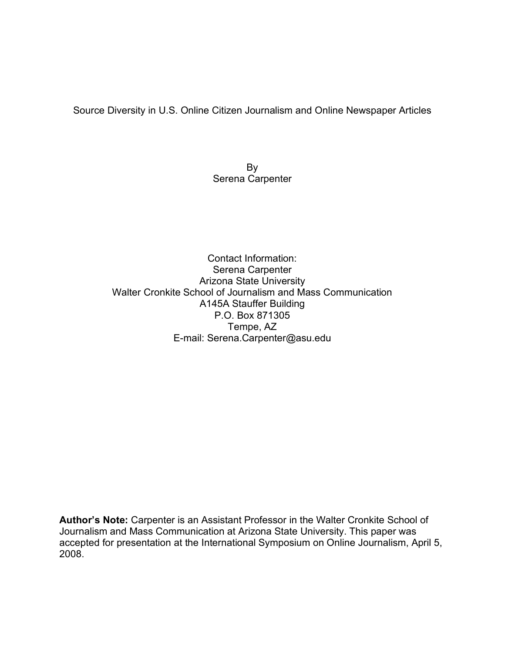Source Diversity in U.S. Online Citizen Journalism and Online Newspaper Articles

By Serena Carpenter

Contact Information: Serena Carpenter Arizona State University Walter Cronkite School of Journalism and Mass Communication A145A Stauffer Building P.O. Box 871305 Tempe, AZ E-mail: Serena.Carpenter@asu.edu

**Author's Note:** Carpenter is an Assistant Professor in the Walter Cronkite School of Journalism and Mass Communication at Arizona State University. This paper was accepted for presentation at the International Symposium on Online Journalism, April 5, 2008.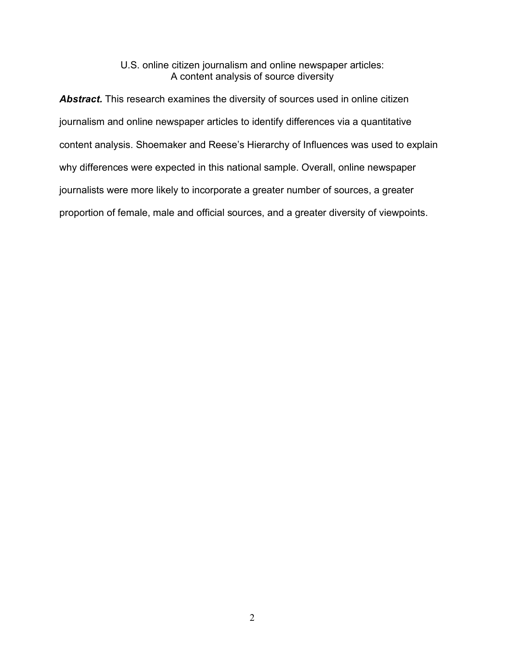## U.S. online citizen journalism and online newspaper articles: A content analysis of source diversity

Abstract. This research examines the diversity of sources used in online citizen journalism and online newspaper articles to identify differences via a quantitative content analysis. Shoemaker and Reese's Hierarchy of Influences was used to explain why differences were expected in this national sample. Overall, online newspaper journalists were more likely to incorporate a greater number of sources, a greater proportion of female, male and official sources, and a greater diversity of viewpoints.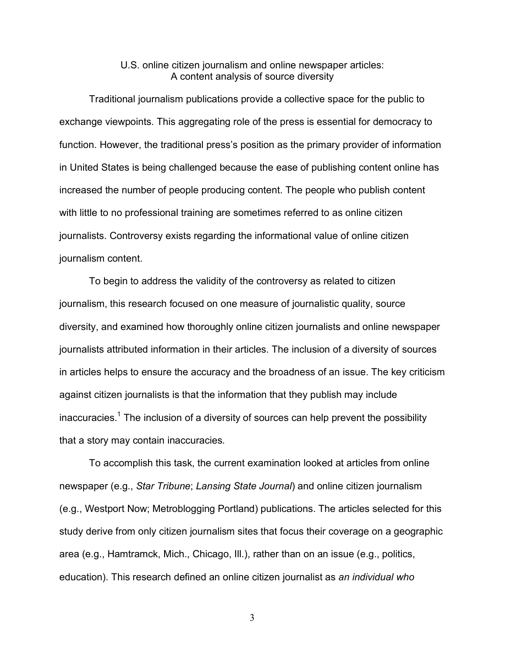## U.S. online citizen journalism and online newspaper articles: A content analysis of source diversity

Traditional journalism publications provide a collective space for the public to exchange viewpoints. This aggregating role of the press is essential for democracy to function. However, the traditional press's position as the primary provider of information in United States is being challenged because the ease of publishing content online has increased the number of people producing content. The people who publish content with little to no professional training are sometimes referred to as online citizen journalists. Controversy exists regarding the informational value of online citizen journalism content.

To begin to address the validity of the controversy as related to citizen journalism, this research focused on one measure of journalistic quality, source diversity, and examined how thoroughly online citizen journalists and online newspaper journalists attributed information in their articles. The inclusion of a diversity of sources in articles helps to ensure the accuracy and the broadness of an issue. The key criticism against citizen journalists is that the information that they publish may include inaccuracies.<sup>1</sup> The inclusion of a diversity of sources can help prevent the possibility that a story may contain inaccuracies.

To accomplish this task, the current examination looked at articles from online newspaper (e.g., *Star Tribune*; *Lansing State Journal*) and online citizen journalism (e.g., Westport Now; Metroblogging Portland) publications. The articles selected for this study derive from only citizen journalism sites that focus their coverage on a geographic area (e.g., Hamtramck, Mich., Chicago, Ill.), rather than on an issue (e.g., politics, education). This research defined an online citizen journalist as *an individual who*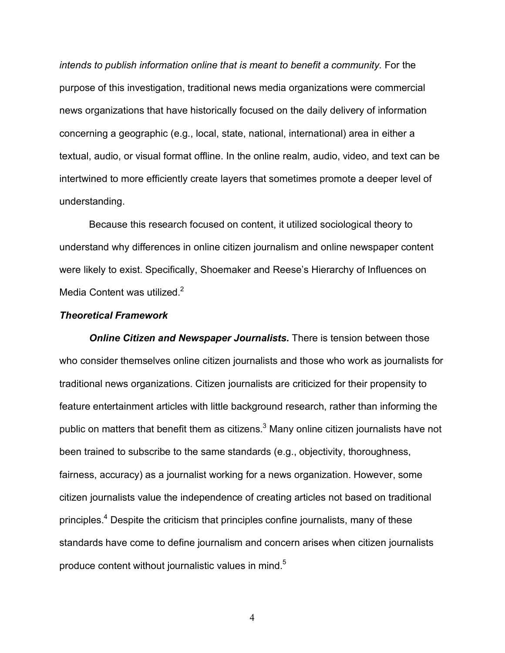*intends to publish information online that is meant to benefit a community.* For the purpose of this investigation, traditional news media organizations were commercial news organizations that have historically focused on the daily delivery of information concerning a geographic (e.g., local, state, national, international) area in either a textual, audio, or visual format offline. In the online realm, audio, video, and text can be intertwined to more efficiently create layers that sometimes promote a deeper level of understanding.

Because this research focused on content, it utilized sociological theory to understand why differences in online citizen journalism and online newspaper content were likely to exist. Specifically, Shoemaker and Reese's Hierarchy of Influences on Media Content was utilized.<sup>2</sup>

#### *Theoretical Framework*

*Online Citizen and Newspaper Journalists.* There is tension between those who consider themselves online citizen journalists and those who work as journalists for traditional news organizations. Citizen journalists are criticized for their propensity to feature entertainment articles with little background research, rather than informing the public on matters that benefit them as citizens. $^3$  Many online citizen journalists have not been trained to subscribe to the same standards (e.g., objectivity, thoroughness, fairness, accuracy) as a journalist working for a news organization. However, some citizen journalists value the independence of creating articles not based on traditional principles.4 Despite the criticism that principles confine journalists, many of these standards have come to define journalism and concern arises when citizen journalists produce content without journalistic values in mind.<sup>5</sup>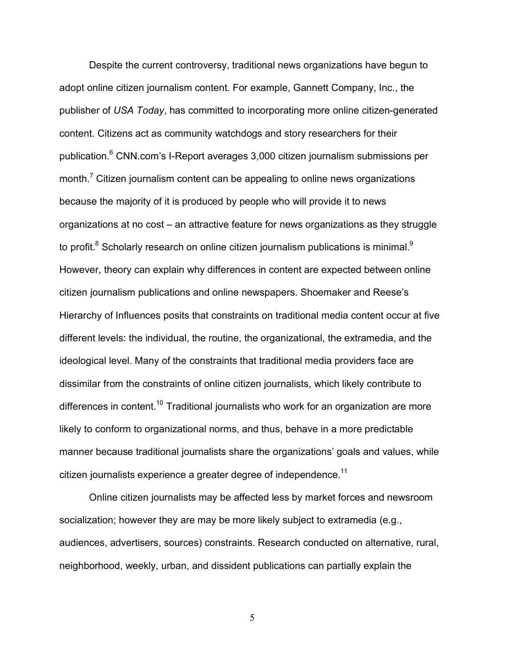Despite the current controversy, traditional news organizations have begun to adopt online citizen journalism content. For example, Gannett Company, Inc., the publisher of *USA Today*, has committed to incorporating more online citizen-generated content. Citizens act as community watchdogs and story researchers for their publication. <sup>6</sup> CNN.com's I-Report averages 3,000 citizen journalism submissions per month.<sup>7</sup> Citizen journalism content can be appealing to online news organizations because the majority of it is produced by people who will provide it to news organizations at no cost – an attractive feature for news organizations as they struggle to profit. $^8$  Scholarly research on online citizen journalism publications is minimal. $^9$ However, theory can explain why differences in content are expected between online citizen journalism publications and online newspapers. Shoemaker and Reese's Hierarchy of Influences posits that constraints on traditional media content occur at five different levels: the individual, the routine, the organizational, the extramedia, and the ideological level. Many of the constraints that traditional media providers face are dissimilar from the constraints of online citizen journalists, which likely contribute to differences in content.<sup>10</sup> Traditional journalists who work for an organization are more likely to conform to organizational norms, and thus, behave in a more predictable manner because traditional journalists share the organizations' goals and values, while citizen journalists experience a greater degree of independence.<sup>11</sup>

Online citizen journalists may be affected less by market forces and newsroom socialization; however they are may be more likely subject to extramedia (e.g., audiences, advertisers, sources) constraints. Research conducted on alternative, rural, neighborhood, weekly, urban, and dissident publications can partially explain the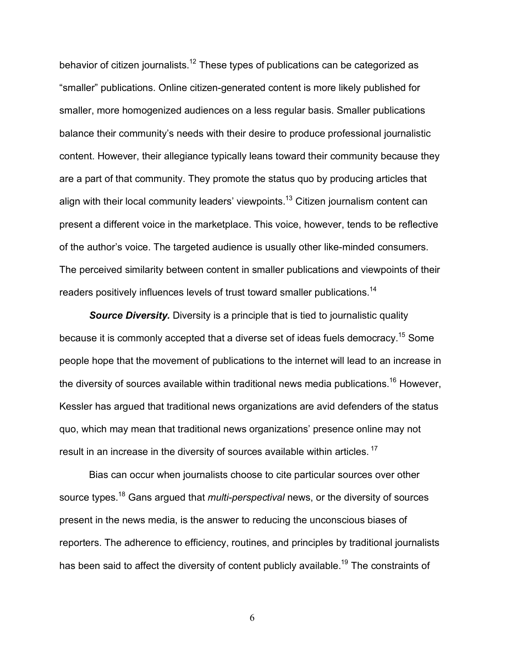behavior of citizen journalists.<sup>12</sup> These types of publications can be categorized as "smaller" publications. Online citizen-generated content is more likely published for smaller, more homogenized audiences on a less regular basis. Smaller publications balance their community's needs with their desire to produce professional journalistic content. However, their allegiance typically leans toward their community because they are a part of that community. They promote the status quo by producing articles that align with their local community leaders' viewpoints.<sup>13</sup> Citizen journalism content can present a different voice in the marketplace. This voice, however, tends to be reflective of the author's voice. The targeted audience is usually other like-minded consumers. The perceived similarity between content in smaller publications and viewpoints of their readers positively influences levels of trust toward smaller publications.14

*Source Diversity.* Diversity is a principle that is tied to journalistic quality because it is commonly accepted that a diverse set of ideas fuels democracy.15 Some people hope that the movement of publications to the internet will lead to an increase in the diversity of sources available within traditional news media publications.<sup>16</sup> However, Kessler has argued that traditional news organizations are avid defenders of the status quo, which may mean that traditional news organizations' presence online may not result in an increase in the diversity of sources available within articles.<sup>17</sup>

Bias can occur when journalists choose to cite particular sources over other source types.18 Gans argued that *multi-perspectival* news, or the diversity of sources present in the news media, is the answer to reducing the unconscious biases of reporters. The adherence to efficiency, routines, and principles by traditional journalists has been said to affect the diversity of content publicly available.<sup>19</sup> The constraints of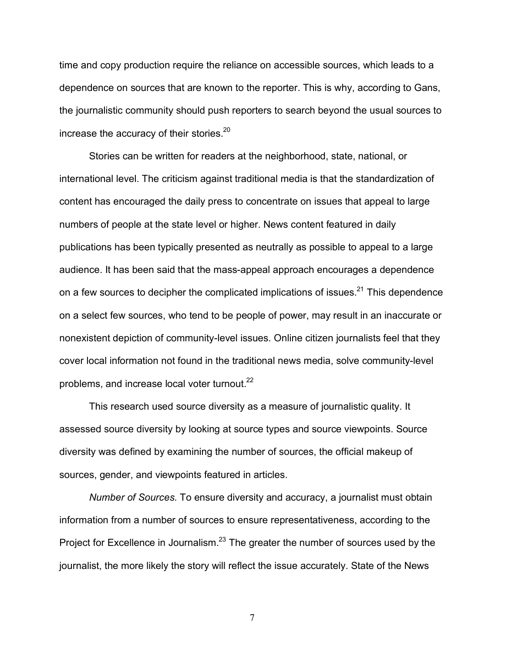time and copy production require the reliance on accessible sources, which leads to a dependence on sources that are known to the reporter. This is why, according to Gans, the journalistic community should push reporters to search beyond the usual sources to increase the accuracy of their stories.<sup>20</sup>

Stories can be written for readers at the neighborhood, state, national, or international level. The criticism against traditional media is that the standardization of content has encouraged the daily press to concentrate on issues that appeal to large numbers of people at the state level or higher. News content featured in daily publications has been typically presented as neutrally as possible to appeal to a large audience. It has been said that the mass-appeal approach encourages a dependence on a few sources to decipher the complicated implications of issues. $21$  This dependence on a select few sources, who tend to be people of power, may result in an inaccurate or nonexistent depiction of community-level issues. Online citizen journalists feel that they cover local information not found in the traditional news media, solve community-level problems, and increase local voter turnout.<sup>22</sup>

This research used source diversity as a measure of journalistic quality. It assessed source diversity by looking at source types and source viewpoints. Source diversity was defined by examining the number of sources, the official makeup of sources, gender, and viewpoints featured in articles.

*Number of Sources.* To ensure diversity and accuracy, a journalist must obtain information from a number of sources to ensure representativeness, according to the Project for Excellence in Journalism.<sup>23</sup> The greater the number of sources used by the journalist, the more likely the story will reflect the issue accurately. State of the News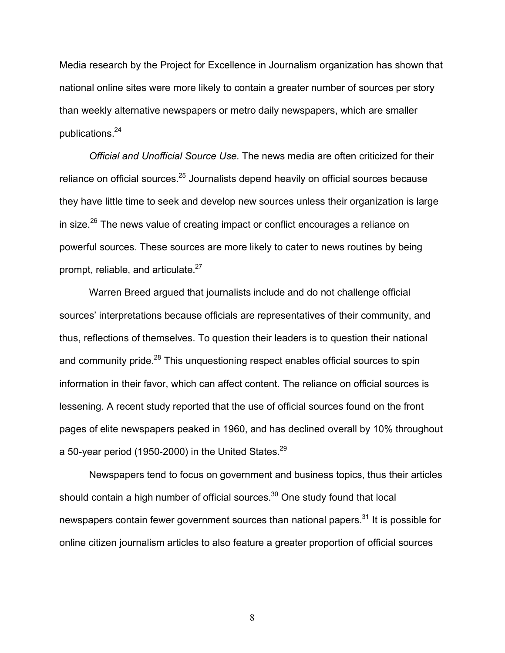Media research by the Project for Excellence in Journalism organization has shown that national online sites were more likely to contain a greater number of sources per story than weekly alternative newspapers or metro daily newspapers, which are smaller publications.24

*Official and Unofficial Source Use.* The news media are often criticized for their reliance on official sources.<sup>25</sup> Journalists depend heavily on official sources because they have little time to seek and develop new sources unless their organization is large in size.<sup>26</sup> The news value of creating impact or conflict encourages a reliance on powerful sources. These sources are more likely to cater to news routines by being prompt, reliable, and articulate.<sup>27</sup>

Warren Breed argued that journalists include and do not challenge official sources' interpretations because officials are representatives of their community, and thus, reflections of themselves. To question their leaders is to question their national and community pride.<sup>28</sup> This unquestioning respect enables official sources to spin information in their favor, which can affect content. The reliance on official sources is lessening. A recent study reported that the use of official sources found on the front pages of elite newspapers peaked in 1960, and has declined overall by 10% throughout a 50-year period (1950-2000) in the United States.<sup>29</sup>

Newspapers tend to focus on government and business topics, thus their articles should contain a high number of official sources. $30$  One study found that local newspapers contain fewer government sources than national papers.<sup>31</sup> It is possible for online citizen journalism articles to also feature a greater proportion of official sources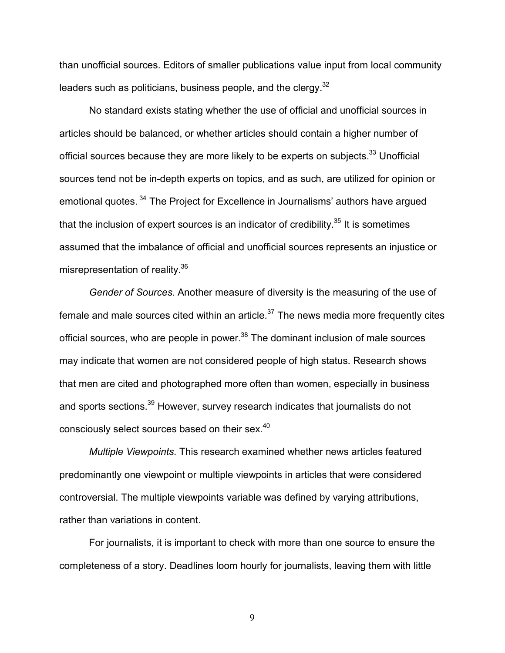than unofficial sources. Editors of smaller publications value input from local community leaders such as politicians, business people, and the clergy. $32$ 

No standard exists stating whether the use of official and unofficial sources in articles should be balanced, or whether articles should contain a higher number of official sources because they are more likely to be experts on subjects.<sup>33</sup> Unofficial sources tend not be in-depth experts on topics, and as such, are utilized for opinion or emotional quotes. <sup>34</sup> The Project for Excellence in Journalisms' authors have argued that the inclusion of expert sources is an indicator of credibility.<sup>35</sup> It is sometimes assumed that the imbalance of official and unofficial sources represents an injustice or misrepresentation of reality.36

*Gender of Sources.* Another measure of diversity is the measuring of the use of female and male sources cited within an article.<sup>37</sup> The news media more frequently cites official sources, who are people in power.<sup>38</sup> The dominant inclusion of male sources may indicate that women are not considered people of high status. Research shows that men are cited and photographed more often than women, especially in business and sports sections.<sup>39</sup> However, survey research indicates that journalists do not consciously select sources based on their sex. 40

*Multiple Viewpoints.* This research examined whether news articles featured predominantly one viewpoint or multiple viewpoints in articles that were considered controversial. The multiple viewpoints variable was defined by varying attributions, rather than variations in content.

For journalists, it is important to check with more than one source to ensure the completeness of a story. Deadlines loom hourly for journalists, leaving them with little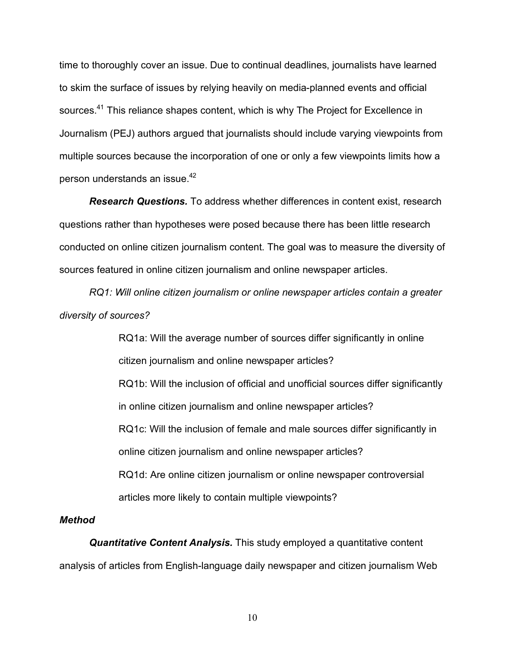time to thoroughly cover an issue. Due to continual deadlines, journalists have learned to skim the surface of issues by relying heavily on media-planned events and official sources.<sup>41</sup> This reliance shapes content, which is why The Project for Excellence in Journalism (PEJ) authors argued that journalists should include varying viewpoints from multiple sources because the incorporation of one or only a few viewpoints limits how a person understands an issue. 42

*Research Questions.* To address whether differences in content exist, research questions rather than hypotheses were posed because there has been little research conducted on online citizen journalism content. The goal was to measure the diversity of sources featured in online citizen journalism and online newspaper articles.

*RQ1: Will online citizen journalism or online newspaper articles contain a greater diversity of sources?*

> RQ1a: Will the average number of sources differ significantly in online citizen journalism and online newspaper articles? RQ1b: Will the inclusion of official and unofficial sources differ significantly in online citizen journalism and online newspaper articles? RQ1c: Will the inclusion of female and male sources differ significantly in online citizen journalism and online newspaper articles? RQ1d: Are online citizen journalism or online newspaper controversial articles more likely to contain multiple viewpoints?

#### *Method*

*Quantitative Content Analysis.* This study employed a quantitative content analysis of articles from English-language daily newspaper and citizen journalism Web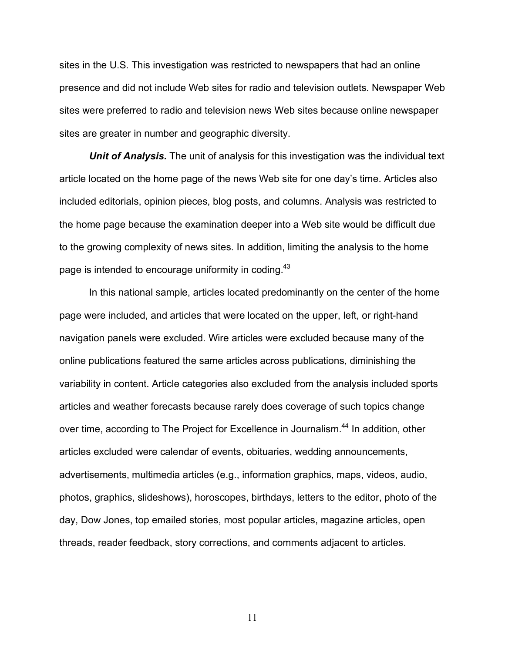sites in the U.S. This investigation was restricted to newspapers that had an online presence and did not include Web sites for radio and television outlets. Newspaper Web sites were preferred to radio and television news Web sites because online newspaper sites are greater in number and geographic diversity.

*Unit of Analysis.* The unit of analysis for this investigation was the individual text article located on the home page of the news Web site for one day's time. Articles also included editorials, opinion pieces, blog posts, and columns. Analysis was restricted to the home page because the examination deeper into a Web site would be difficult due to the growing complexity of news sites. In addition, limiting the analysis to the home page is intended to encourage uniformity in coding.<sup>43</sup>

In this national sample, articles located predominantly on the center of the home page were included, and articles that were located on the upper, left, or right-hand navigation panels were excluded. Wire articles were excluded because many of the online publications featured the same articles across publications, diminishing the variability in content. Article categories also excluded from the analysis included sports articles and weather forecasts because rarely does coverage of such topics change over time, according to The Project for Excellence in Journalism.<sup>44</sup> In addition, other articles excluded were calendar of events, obituaries, wedding announcements, advertisements, multimedia articles (e.g., information graphics, maps, videos, audio, photos, graphics, slideshows), horoscopes, birthdays, letters to the editor, photo of the day, Dow Jones, top emailed stories, most popular articles, magazine articles, open threads, reader feedback, story corrections, and comments adjacent to articles.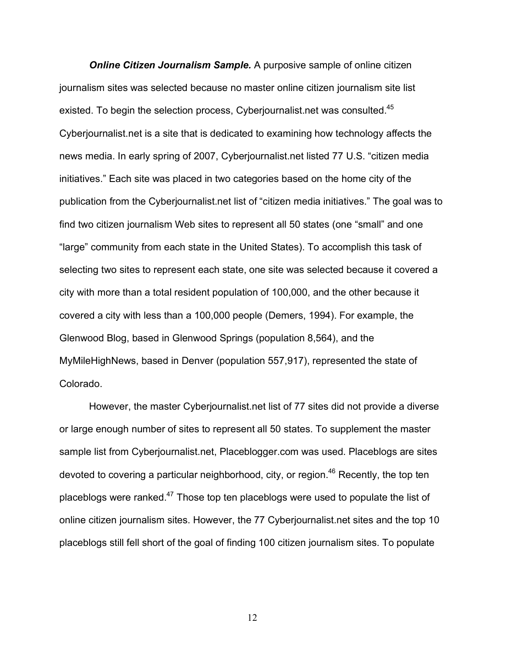*Online Citizen Journalism Sample.* A purposive sample of online citizen journalism sites was selected because no master online citizen journalism site list existed. To begin the selection process, Cyberjournalist.net was consulted.<sup>45</sup> Cyberjournalist.net is a site that is dedicated to examining how technology affects the news media. In early spring of 2007, Cyberjournalist.net listed 77 U.S. "citizen media initiatives." Each site was placed in two categories based on the home city of the publication from the Cyberjournalist.net list of "citizen media initiatives." The goal was to find two citizen journalism Web sites to represent all 50 states (one "small" and one "large" community from each state in the United States). To accomplish this task of selecting two sites to represent each state, one site was selected because it covered a city with more than a total resident population of 100,000, and the other because it covered a city with less than a 100,000 people (Demers, 1994). For example, the Glenwood Blog, based in Glenwood Springs (population 8,564), and the MyMileHighNews, based in Denver (population 557,917), represented the state of Colorado.

However, the master Cyberjournalist.net list of 77 sites did not provide a diverse or large enough number of sites to represent all 50 states. To supplement the master sample list from Cyberjournalist.net, Placeblogger.com was used. Placeblogs are sites devoted to covering a particular neighborhood, city, or region.<sup>46</sup> Recently, the top ten placeblogs were ranked.<sup>47</sup> Those top ten placeblogs were used to populate the list of online citizen journalism sites. However, the 77 Cyberjournalist.net sites and the top 10 placeblogs still fell short of the goal of finding 100 citizen journalism sites. To populate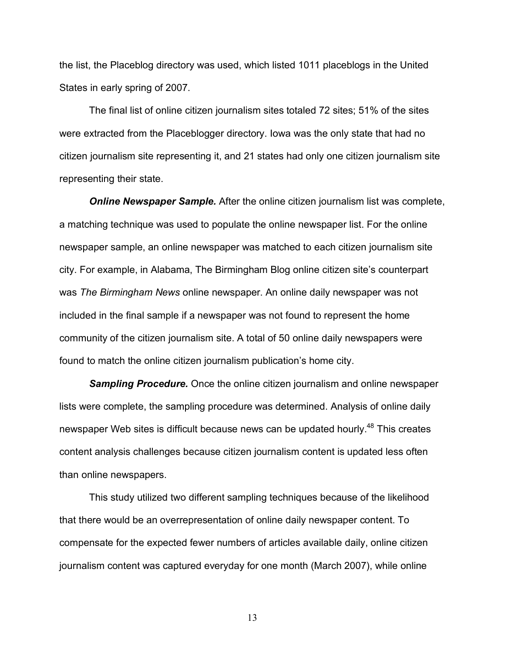the list, the Placeblog directory was used, which listed 1011 placeblogs in the United States in early spring of 2007.

The final list of online citizen journalism sites totaled 72 sites; 51% of the sites were extracted from the Placeblogger directory. Iowa was the only state that had no citizen journalism site representing it, and 21 states had only one citizen journalism site representing their state.

*Online Newspaper Sample.* After the online citizen journalism list was complete, a matching technique was used to populate the online newspaper list. For the online newspaper sample, an online newspaper was matched to each citizen journalism site city. For example, in Alabama, The Birmingham Blog online citizen site's counterpart was *The Birmingham News* online newspaper. An online daily newspaper was not included in the final sample if a newspaper was not found to represent the home community of the citizen journalism site. A total of 50 online daily newspapers were found to match the online citizen journalism publication's home city.

*Sampling Procedure.* Once the online citizen journalism and online newspaper lists were complete, the sampling procedure was determined. Analysis of online daily newspaper Web sites is difficult because news can be updated hourly.<sup>48</sup> This creates content analysis challenges because citizen journalism content is updated less often than online newspapers.

This study utilized two different sampling techniques because of the likelihood that there would be an overrepresentation of online daily newspaper content. To compensate for the expected fewer numbers of articles available daily, online citizen journalism content was captured everyday for one month (March 2007), while online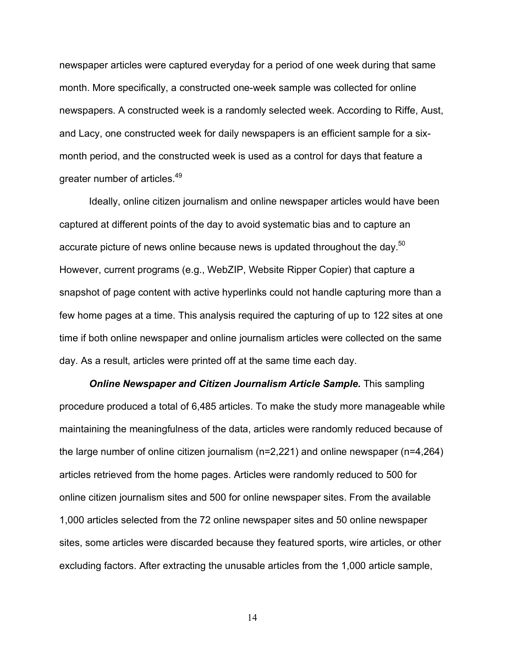newspaper articles were captured everyday for a period of one week during that same month. More specifically, a constructed one-week sample was collected for online newspapers. A constructed week is a randomly selected week. According to Riffe, Aust, and Lacy, one constructed week for daily newspapers is an efficient sample for a sixmonth period, and the constructed week is used as a control for days that feature a greater number of articles.<sup>49</sup>

Ideally, online citizen journalism and online newspaper articles would have been captured at different points of the day to avoid systematic bias and to capture an accurate picture of news online because news is updated throughout the day.<sup>50</sup> However, current programs (e.g., WebZIP, Website Ripper Copier) that capture a snapshot of page content with active hyperlinks could not handle capturing more than a few home pages at a time. This analysis required the capturing of up to 122 sites at one time if both online newspaper and online journalism articles were collected on the same day. As a result, articles were printed off at the same time each day.

*Online Newspaper and Citizen Journalism Article Sample.* This sampling procedure produced a total of 6,485 articles. To make the study more manageable while maintaining the meaningfulness of the data, articles were randomly reduced because of the large number of online citizen journalism (n=2,221) and online newspaper (n=4,264) articles retrieved from the home pages. Articles were randomly reduced to 500 for online citizen journalism sites and 500 for online newspaper sites. From the available 1,000 articles selected from the 72 online newspaper sites and 50 online newspaper sites, some articles were discarded because they featured sports, wire articles, or other excluding factors. After extracting the unusable articles from the 1,000 article sample,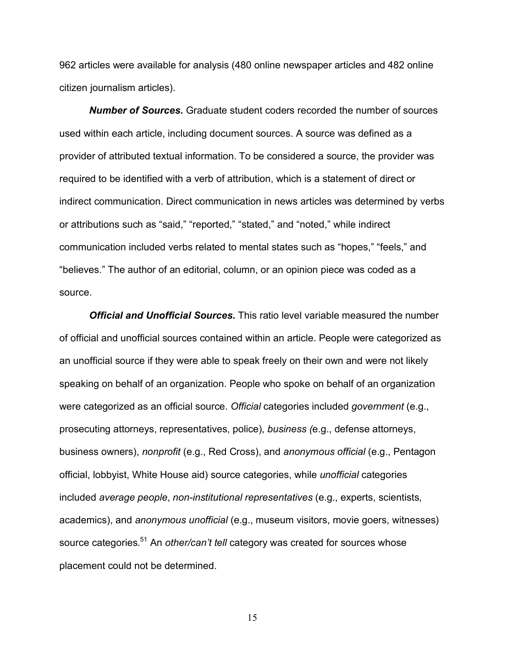962 articles were available for analysis (480 online newspaper articles and 482 online citizen journalism articles).

*Number of Sources.* Graduate student coders recorded the number of sources used within each article, including document sources. A source was defined as a provider of attributed textual information. To be considered a source, the provider was required to be identified with a verb of attribution, which is a statement of direct or indirect communication. Direct communication in news articles was determined by verbs or attributions such as "said," "reported," "stated," and "noted," while indirect communication included verbs related to mental states such as "hopes," "feels," and "believes." The author of an editorial, column, or an opinion piece was coded as a source.

*Official and Unofficial Sources.* This ratio level variable measured the number of official and unofficial sources contained within an article. People were categorized as an unofficial source if they were able to speak freely on their own and were not likely speaking on behalf of an organization. People who spoke on behalf of an organization were categorized as an official source. *Official* categories included *government* (e.g., prosecuting attorneys, representatives, police), *business (*e.g., defense attorneys, business owners), *nonprofit* (e.g., Red Cross), and *anonymous official* (e.g., Pentagon official, lobbyist, White House aid) source categories, while *unofficial* categories included *average people*, *non-institutional representatives* (e.g., experts, scientists, academics), and *anonymous unofficial* (e.g., museum visitors, movie goers, witnesses) source categories. <sup>51</sup> An *other/can't tell* category was created for sources whose placement could not be determined.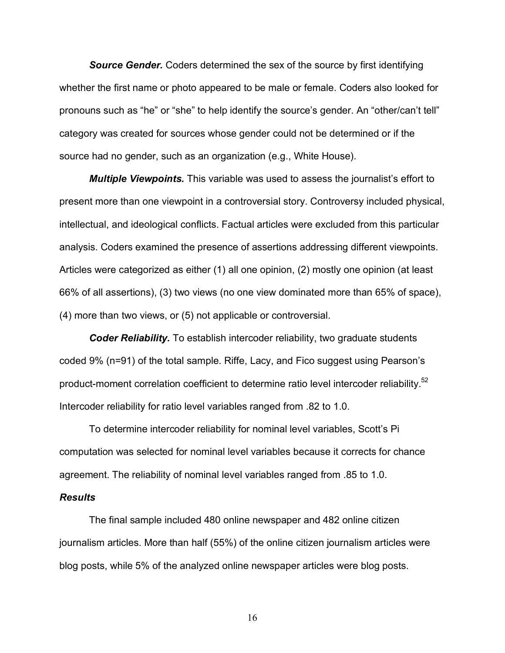*Source Gender.* Coders determined the sex of the source by first identifying whether the first name or photo appeared to be male or female. Coders also looked for pronouns such as "he" or "she" to help identify the source's gender. An "other/can't tell" category was created for sources whose gender could not be determined or if the source had no gender, such as an organization (e.g., White House).

*Multiple Viewpoints.* This variable was used to assess the journalist's effort to present more than one viewpoint in a controversial story. Controversy included physical, intellectual, and ideological conflicts. Factual articles were excluded from this particular analysis. Coders examined the presence of assertions addressing different viewpoints. Articles were categorized as either (1) all one opinion, (2) mostly one opinion (at least 66% of all assertions), (3) two views (no one view dominated more than 65% of space), (4) more than two views, or (5) not applicable or controversial.

*Coder Reliability.* To establish intercoder reliability, two graduate students coded 9% (n=91) of the total sample. Riffe, Lacy, and Fico suggest using Pearson's product-moment correlation coefficient to determine ratio level intercoder reliability.<sup>52</sup> Intercoder reliability for ratio level variables ranged from .82 to 1.0.

To determine intercoder reliability for nominal level variables, Scott's Pi computation was selected for nominal level variables because it corrects for chance agreement. The reliability of nominal level variables ranged from .85 to 1.0.

#### *Results*

The final sample included 480 online newspaper and 482 online citizen journalism articles. More than half (55%) of the online citizen journalism articles were blog posts, while 5% of the analyzed online newspaper articles were blog posts.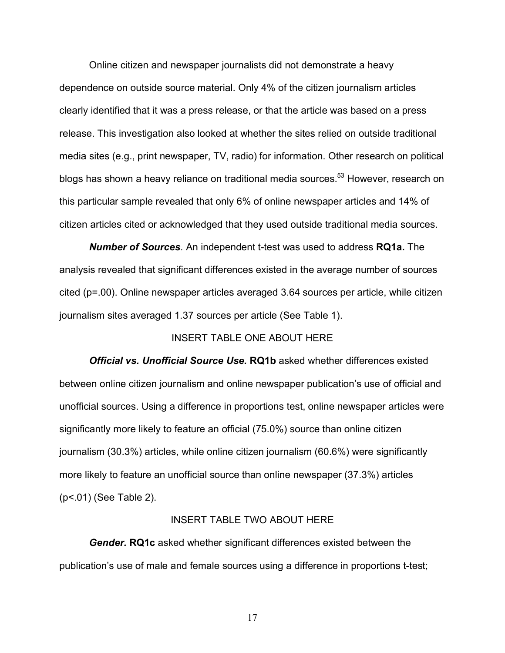Online citizen and newspaper journalists did not demonstrate a heavy dependence on outside source material. Only 4% of the citizen journalism articles clearly identified that it was a press release, or that the article was based on a press release. This investigation also looked at whether the sites relied on outside traditional media sites (e.g., print newspaper, TV, radio) for information. Other research on political blogs has shown a heavy reliance on traditional media sources.<sup>53</sup> However, research on this particular sample revealed that only 6% of online newspaper articles and 14% of citizen articles cited or acknowledged that they used outside traditional media sources.

*Number of Sources.* An independent t-test was used to address **RQ1a.** The analysis revealed that significant differences existed in the average number of sources cited (p=.00). Online newspaper articles averaged 3.64 sources per article, while citizen journalism sites averaged 1.37 sources per article (See Table 1).

#### INSERT TABLE ONE ABOUT HERE

*Official vs. Unofficial Source Use.* **RQ1b** asked whether differences existed between online citizen journalism and online newspaper publication's use of official and unofficial sources. Using a difference in proportions test, online newspaper articles were significantly more likely to feature an official (75.0%) source than online citizen journalism (30.3%) articles, while online citizen journalism (60.6%) were significantly more likely to feature an unofficial source than online newspaper (37.3%) articles (p<.01) (See Table 2).

#### INSERT TABLE TWO ABOUT HERE

*Gender.* **RQ1c** asked whether significant differences existed between the publication's use of male and female sources using a difference in proportions t-test;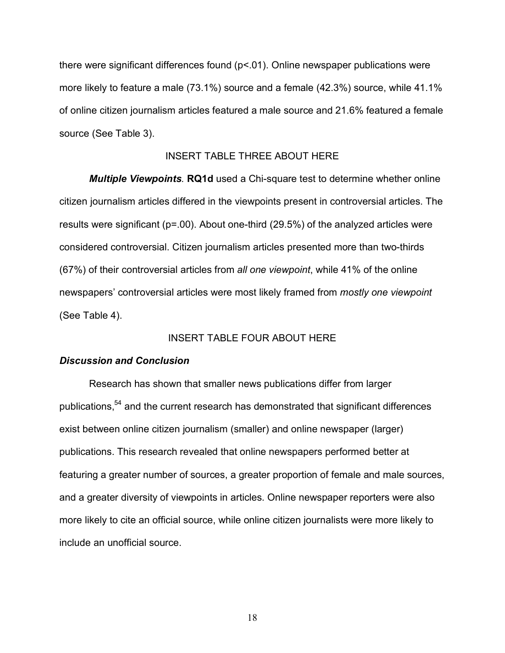there were significant differences found (p<.01). Online newspaper publications were more likely to feature a male (73.1%) source and a female (42.3%) source, while 41.1% of online citizen journalism articles featured a male source and 21.6% featured a female source (See Table 3).

### INSERT TABLE THREE ABOUT HERE

*Multiple Viewpoints.* **RQ1d** used a Chi-square test to determine whether online citizen journalism articles differed in the viewpoints present in controversial articles. The results were significant (p=.00). About one-third (29.5%) of the analyzed articles were considered controversial. Citizen journalism articles presented more than two-thirds (67%) of their controversial articles from *all one viewpoint*, while 41% of the online newspapers' controversial articles were most likely framed from *mostly one viewpoint* (See Table 4).

## INSERT TABLE FOUR ABOUT HERE

#### *Discussion and Conclusion*

Research has shown that smaller news publications differ from larger publications,<sup>54</sup> and the current research has demonstrated that significant differences exist between online citizen journalism (smaller) and online newspaper (larger) publications. This research revealed that online newspapers performed better at featuring a greater number of sources, a greater proportion of female and male sources, and a greater diversity of viewpoints in articles. Online newspaper reporters were also more likely to cite an official source, while online citizen journalists were more likely to include an unofficial source.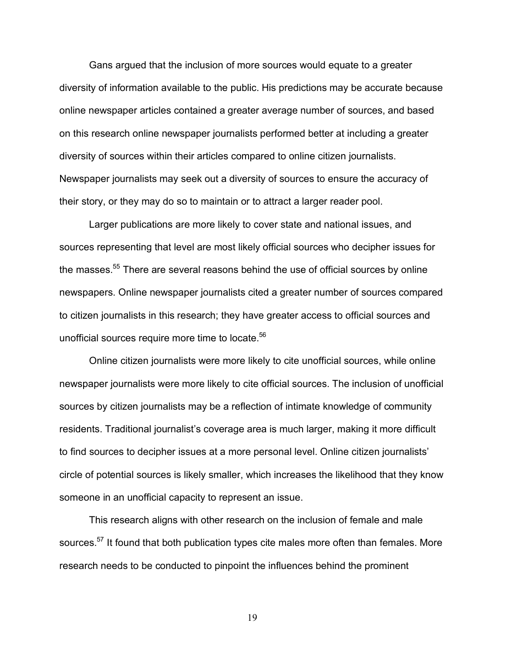Gans argued that the inclusion of more sources would equate to a greater diversity of information available to the public. His predictions may be accurate because online newspaper articles contained a greater average number of sources, and based on this research online newspaper journalists performed better at including a greater diversity of sources within their articles compared to online citizen journalists. Newspaper journalists may seek out a diversity of sources to ensure the accuracy of their story, or they may do so to maintain or to attract a larger reader pool.

Larger publications are more likely to cover state and national issues, and sources representing that level are most likely official sources who decipher issues for the masses.<sup>55</sup> There are several reasons behind the use of official sources by online newspapers. Online newspaper journalists cited a greater number of sources compared to citizen journalists in this research; they have greater access to official sources and unofficial sources require more time to locate.<sup>56</sup>

Online citizen journalists were more likely to cite unofficial sources, while online newspaper journalists were more likely to cite official sources. The inclusion of unofficial sources by citizen journalists may be a reflection of intimate knowledge of community residents. Traditional journalist's coverage area is much larger, making it more difficult to find sources to decipher issues at a more personal level. Online citizen journalists' circle of potential sources is likely smaller, which increases the likelihood that they know someone in an unofficial capacity to represent an issue.

This research aligns with other research on the inclusion of female and male sources.<sup>57</sup> It found that both publication types cite males more often than females. More research needs to be conducted to pinpoint the influences behind the prominent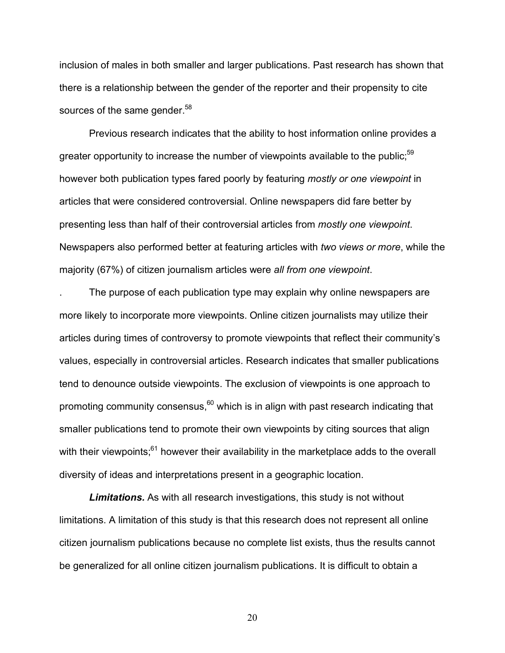inclusion of males in both smaller and larger publications. Past research has shown that there is a relationship between the gender of the reporter and their propensity to cite sources of the same gender.<sup>58</sup>

Previous research indicates that the ability to host information online provides a greater opportunity to increase the number of viewpoints available to the public; $59$ however both publication types fared poorly by featuring *mostly or one viewpoint* in articles that were considered controversial. Online newspapers did fare better by presenting less than half of their controversial articles from *mostly one viewpoint*. Newspapers also performed better at featuring articles with *two views or more*, while the majority (67%) of citizen journalism articles were *all from one viewpoint*.

. The purpose of each publication type may explain why online newspapers are more likely to incorporate more viewpoints. Online citizen journalists may utilize their articles during times of controversy to promote viewpoints that reflect their community's values, especially in controversial articles. Research indicates that smaller publications tend to denounce outside viewpoints. The exclusion of viewpoints is one approach to promoting community consensus, $60$  which is in align with past research indicating that smaller publications tend to promote their own viewpoints by citing sources that align with their viewpoints;<sup>61</sup> however their availability in the marketplace adds to the overall diversity of ideas and interpretations present in a geographic location.

*Limitations.* As with all research investigations, this study is not without limitations. A limitation of this study is that this research does not represent all online citizen journalism publications because no complete list exists, thus the results cannot be generalized for all online citizen journalism publications. It is difficult to obtain a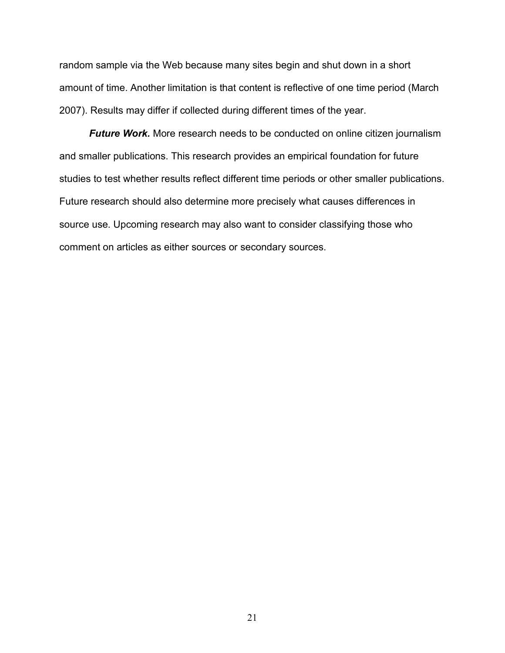random sample via the Web because many sites begin and shut down in a short amount of time. Another limitation is that content is reflective of one time period (March 2007). Results may differ if collected during different times of the year.

*Future Work.* More research needs to be conducted on online citizen journalism and smaller publications. This research provides an empirical foundation for future studies to test whether results reflect different time periods or other smaller publications. Future research should also determine more precisely what causes differences in source use. Upcoming research may also want to consider classifying those who comment on articles as either sources or secondary sources.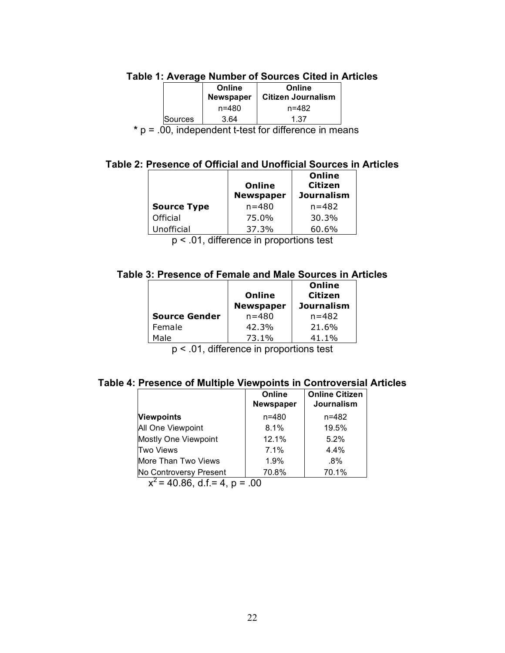| Table 1: Average Number of Sources Cited in Articles |  |  |
|------------------------------------------------------|--|--|
|------------------------------------------------------|--|--|

|         | Online<br>Newspaper | Online<br><b>∣ Citizen Journalism</b> |
|---------|---------------------|---------------------------------------|
|         | n=480               | n=482                                 |
| Sources | 3.64                | 1.37                                  |

**\*** p = .00, independent t-test for difference in means

## **Table 2: Presence of Official and Unofficial Sources in Articles**

|                    | Online<br><b>Newspaper</b> | Online<br>Citizen<br><b>Journalism</b> |
|--------------------|----------------------------|----------------------------------------|
| <b>Source Type</b> | $n = 480$                  | $n = 482$                              |
| Official           | 75.0%                      | 30.3%                                  |
| Unofficial         | 37.3%                      | 60.6%                                  |

p < .01, difference in proportions test

## **Table 3: Presence of Female and Male Sources in Articles**

|                      |                  | Online            |
|----------------------|------------------|-------------------|
|                      | Online           | <b>Citizen</b>    |
|                      | <b>Newspaper</b> | <b>Journalism</b> |
| <b>Source Gender</b> | $n = 480$        | $n = 482$         |
| Female               | 42.3%            | 21.6%             |
| Male                 | 73.1%            | 41.1%             |

p < .01, difference in proportions test

# **Table 4: Presence of Multiple Viewpoints in Controversial Articles**

|                            | Online<br>Newspaper | <b>Online Citizen</b><br>Journalism |
|----------------------------|---------------------|-------------------------------------|
| <b>Viewpoints</b>          | $n = 480$           | $n = 482$                           |
| All One Viewpoint          | 8.1%                | 19.5%                               |
| Mostly One Viewpoint       | 12.1%               | 5.2%                                |
| <b>Two Views</b>           | 7.1%                | 4.4%                                |
| <b>More Than Two Views</b> | 1.9%                | $.8\%$                              |
| No Controversy Present     | 70.8%               | 70.1%                               |
| $\lambda$                  | ^^                  |                                     |

 $x^2$  = 40.86, d.f. = 4, p = .00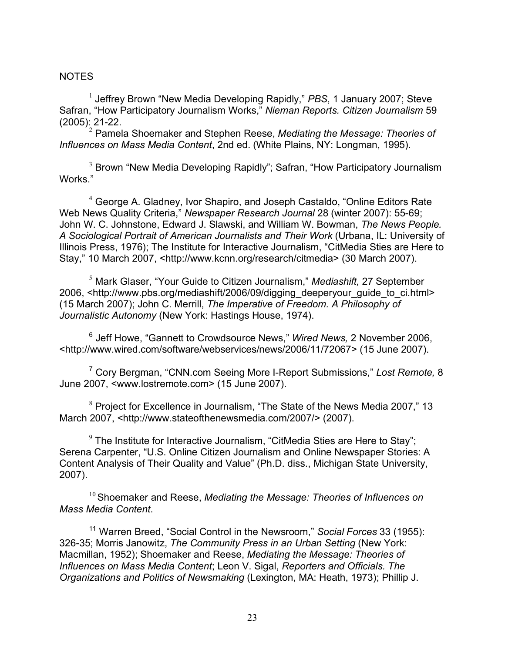## NOTES

<sup>1</sup> Jeffrey Brown "New Media Developing Rapidly," PBS, 1 January 2007; Steve Safran, "How Participatory Journalism Works," *Nieman Reports. Citizen Journalism* 59 (2005): 21-22. <sup>2</sup> Pamela Shoemaker and Stephen Reese, *Mediating the Message: Theories of*

*Influences on Mass Media Content*, 2nd ed. (White Plains, NY: Longman, 1995).

 $3$  Brown "New Media Developing Rapidly"; Safran, "How Participatory Journalism Works."

<sup>4</sup> George A. Gladney, Ivor Shapiro, and Joseph Castaldo, "Online Editors Rate Web News Quality Criteria," *Newspaper Research Journal* 28 (winter 2007): 55-69; John W. C. Johnstone, Edward J. Slawski, and William W. Bowman, *The News People. A Sociological Portrait of American Journalists and Their Work* (Urbana, IL: University of Illinois Press, 1976); The Institute for Interactive Journalism, "CitMedia Sties are Here to Stay," 10 March 2007, <http://www.kcnn.org/research/citmedia> (30 March 2007).

<sup>5</sup> Mark Glaser, "Your Guide to Citizen Journalism," *Mediashift,* 27 September 2006, <http://www.pbs.org/mediashift/2006/09/digging\_deeperyour\_guide\_to\_ci.html> (15 March 2007); John C. Merrill, *The Imperative of Freedom. A Philosophy of Journalistic Autonomy* (New York: Hastings House, 1974).

<sup>6</sup> Jeff Howe, "Gannett to Crowdsource News," *Wired News,* 2 November 2006, <http://www.wired.com/software/webservices/news/2006/11/72067> (15 June 2007).

<sup>7</sup> Cory Bergman, "CNN.com Seeing More I-Report Submissions," *Lost Remote,* 8 June 2007, <www.lostremote.com> (15 June 2007).

<sup>8</sup> Project for Excellence in Journalism, "The State of the News Media 2007," 13 March 2007, <http://www.stateofthenewsmedia.com/2007/> (2007).

 $9$  The Institute for Interactive Journalism, "CitMedia Sties are Here to Stay"; Serena Carpenter, "U.S. Online Citizen Journalism and Online Newspaper Stories: A Content Analysis of Their Quality and Value" (Ph.D. diss., Michigan State University, 2007).

<sup>10</sup> Shoemaker and Reese, *Mediating the Message: Theories of Influences on Mass Media Content*.

<sup>11</sup> Warren Breed, "Social Control in the Newsroom," *Social Forces* 33 (1955): 326-35; Morris Janowitz, *The Community Press in an Urban Setting* (New York: Macmillan, 1952); Shoemaker and Reese, *Mediating the Message: Theories of Influences on Mass Media Content*; Leon V. Sigal, *Reporters and Officials. The Organizations and Politics of Newsmaking* (Lexington, MA: Heath, 1973); Phillip J.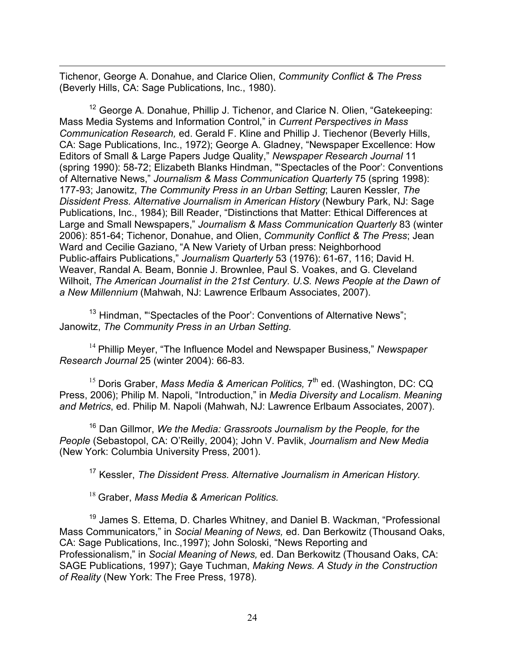$\overline{a}$ Tichenor, George A. Donahue, and Clarice Olien, *Community Conflict & The Press* (Beverly Hills, CA: Sage Publications, Inc., 1980).

<sup>12</sup> George A. Donahue, Phillip J. Tichenor, and Clarice N. Olien, "Gatekeeping: Mass Media Systems and Information Control," in *Current Perspectives in Mass Communication Research,* ed. Gerald F. Kline and Phillip J. Tiechenor (Beverly Hills, CA: Sage Publications, Inc., 1972); George A. Gladney, "Newspaper Excellence: How Editors of Small & Large Papers Judge Quality," *Newspaper Research Journal* 11 (spring 1990): 58-72; Elizabeth Blanks Hindman, "'Spectacles of the Poor': Conventions of Alternative News," *Journalism & Mass Communication Quarterly* 75 (spring 1998): 177-93; Janowitz, *The Community Press in an Urban Setting*; Lauren Kessler, *The Dissident Press. Alternative Journalism in American History* (Newbury Park, NJ: Sage Publications, Inc., 1984); Bill Reader, "Distinctions that Matter: Ethical Differences at Large and Small Newspapers," *Journalism & Mass Communication Quarterly* 83 (winter 2006): 851-64; Tichenor, Donahue, and Olien, *Community Conflict & The Press*; Jean Ward and Cecilie Gaziano, "A New Variety of Urban press: Neighborhood Public-affairs Publications," *Journalism Quarterly* 53 (1976): 61-67, 116; David H. Weaver, Randal A. Beam, Bonnie J. Brownlee, Paul S. Voakes, and G. Cleveland Wilhoit, *The American Journalist in the 21st Century. U.S. News People at the Dawn of a New Millennium* (Mahwah, NJ: Lawrence Erlbaum Associates, 2007).

<sup>13</sup> Hindman, "'Spectacles of the Poor': Conventions of Alternative News"; Janowitz, *The Community Press in an Urban Setting.*

<sup>14</sup> Phillip Meyer, "The Influence Model and Newspaper Business," *Newspaper Research Journal* 25 (winter 2004): 66-83.

<sup>15</sup> Doris Graber, Mass Media & American Politics, 7<sup>th</sup> ed. (Washington, DC: CQ Press, 2006); Philip M. Napoli, "Introduction," in *Media Diversity and Localism. Meaning and Metrics*, ed. Philip M. Napoli (Mahwah, NJ: Lawrence Erlbaum Associates, 2007).

<sup>16</sup> Dan Gillmor, *We the Media: Grassroots Journalism by the People, for the People* (Sebastopol, CA: O'Reilly, 2004); John V. Pavlik, *Journalism and New Media* (New York: Columbia University Press, 2001).

<sup>17</sup> Kessler, *The Dissident Press. Alternative Journalism in American History.*

<sup>18</sup> Graber, *Mass Media & American Politics.*

<sup>19</sup> James S. Ettema, D. Charles Whitney, and Daniel B. Wackman, "Professional Mass Communicators," in *Social Meaning of News,* ed. Dan Berkowitz (Thousand Oaks, CA: Sage Publications, Inc.,1997); John Soloski, "News Reporting and Professionalism," in *Social Meaning of News,* ed. Dan Berkowitz (Thousand Oaks, CA: SAGE Publications, 1997); Gaye Tuchman, *Making News. A Study in the Construction of Reality* (New York: The Free Press, 1978).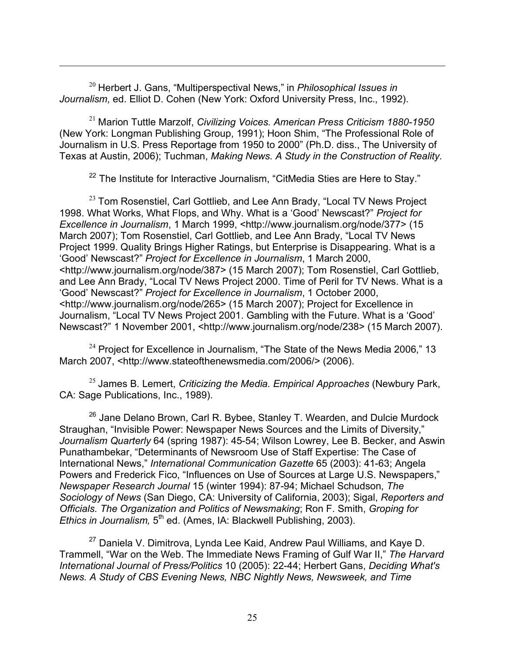<sup>20</sup> Herbert J. Gans, "Multiperspectival News," in *Philosophical Issues in Journalism,* ed. Elliot D. Cohen (New York: Oxford University Press, Inc., 1992).

 $\overline{a}$ 

<sup>21</sup> Marion Tuttle Marzolf, *Civilizing Voices. American Press Criticism 1880-1950* (New York: Longman Publishing Group, 1991); Hoon Shim, "The Professional Role of Journalism in U.S. Press Reportage from 1950 to 2000" (Ph.D. diss., The University of Texas at Austin, 2006); Tuchman, *Making News. A Study in the Construction of Reality.*

 $22$  The Institute for Interactive Journalism, "CitMedia Sties are Here to Stay."

 $^{23}$  Tom Rosenstiel, Carl Gottlieb, and Lee Ann Brady, "Local TV News Project 1998. What Works, What Flops, and Why. What is a 'Good' Newscast?" *Project for Excellence in Journalism*, 1 March 1999, <http://www.journalism.org/node/377> (15 March 2007); Tom Rosenstiel, Carl Gottlieb, and Lee Ann Brady, "Local TV News Project 1999. Quality Brings Higher Ratings, but Enterprise is Disappearing. What is a 'Good' Newscast?" *Project for Excellence in Journalism*, 1 March 2000, <http://www.journalism.org/node/387> (15 March 2007); Tom Rosenstiel, Carl Gottlieb, and Lee Ann Brady, "Local TV News Project 2000. Time of Peril for TV News. What is a 'Good' Newscast?" *Project for Excellence in Journalism*, 1 October 2000, <http://www.journalism.org/node/265> (15 March 2007); Project for Excellence in Journalism, "Local TV News Project 2001. Gambling with the Future. What is a 'Good' Newscast?" 1 November 2001, <http://www.journalism.org/node/238> (15 March 2007).

 $24$  Project for Excellence in Journalism, "The State of the News Media 2006," 13 March 2007, <http://www.stateofthenewsmedia.com/2006/> (2006).

<sup>25</sup> James B. Lemert, *Criticizing the Media. Empirical Approaches* (Newbury Park, CA: Sage Publications, Inc., 1989).

 $26$  Jane Delano Brown, Carl R. Bybee, Stanley T. Wearden, and Dulcie Murdock Straughan, "Invisible Power: Newspaper News Sources and the Limits of Diversity," *Journalism Quarterly* 64 (spring 1987): 45-54; Wilson Lowrey, Lee B. Becker, and Aswin Punathambekar, "Determinants of Newsroom Use of Staff Expertise: The Case of International News," *International Communication Gazette* 65 (2003): 41-63; Angela Powers and Frederick Fico, "Influences on Use of Sources at Large U.S. Newspapers," *Newspaper Research Journal* 15 (winter 1994): 87-94; Michael Schudson, *The Sociology of News* (San Diego, CA: University of California, 2003); Sigal, *Reporters and Officials. The Organization and Politics of Newsmaking*; Ron F. Smith, *Groping for Ethics in Journalism,* 5<sup>th</sup> ed. (Ames, IA: Blackwell Publishing, 2003).

 $27$  Daniela V. Dimitrova, Lynda Lee Kaid, Andrew Paul Williams, and Kaye D. Trammell, "War on the Web. The Immediate News Framing of Gulf War II," *The Harvard International Journal of Press/Politics* 10 (2005): 22-44; Herbert Gans, *Deciding What's News. A Study of CBS Evening News, NBC Nightly News, Newsweek, and Time*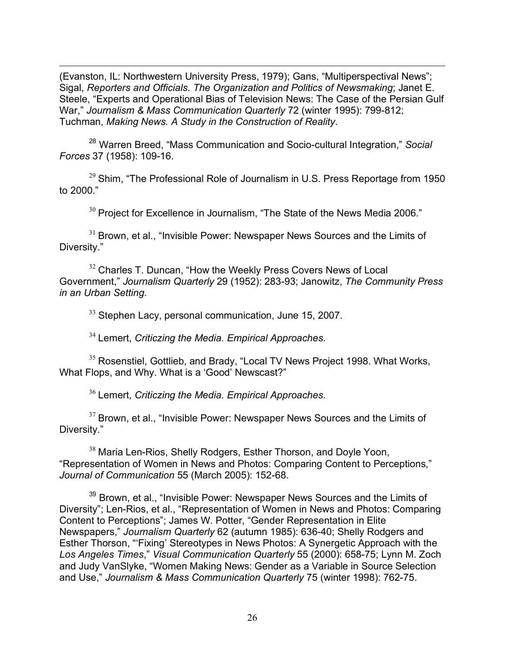$\overline{a}$ (Evanston, IL: Northwestern University Press, 1979); Gans, "Multiperspectival News"; Sigal, *Reporters and Officials. The Organization and Politics of Newsmaking*; Janet E. Steele, "Experts and Operational Bias of Television News: The Case of the Persian Gulf War," *Journalism & Mass Communication Quarterly* 72 (winter 1995): 799-812; Tuchman, *Making News. A Study in the Construction of Reality*.

<sup>28</sup> Warren Breed, "Mass Communication and Socio-cultural Integration," *Social Forces* 37 (1958): 109-16.

 $29$  Shim, "The Professional Role of Journalism in U.S. Press Reportage from 1950 to 2000."

 $30$  Project for Excellence in Journalism, "The State of the News Media 2006."

 $31$  Brown, et al., "Invisible Power: Newspaper News Sources and the Limits of Diversity."

<sup>32</sup> Charles T. Duncan, "How the Weekly Press Covers News of Local Government," *Journalism Quarterly* 29 (1952): 283-93; Janowitz, *The Community Press in an Urban Setting*.

<sup>33</sup> Stephen Lacy, personal communication, June 15, 2007.

<sup>34</sup> Lemert, *Criticzing the Media. Empirical Approaches.*

<sup>35</sup> Rosenstiel, Gottlieb, and Brady, "Local TV News Project 1998. What Works, What Flops, and Why. What is a 'Good' Newscast?"

<sup>36</sup> Lemert, *Criticzing the Media. Empirical Approaches.*

 $37$  Brown, et al., "Invisible Power: Newspaper News Sources and the Limits of Diversity."

<sup>38</sup> Maria Len-Rios, Shelly Rodgers, Esther Thorson, and Doyle Yoon, "Representation of Women in News and Photos: Comparing Content to Perceptions," *Journal of Communication* 55 (March 2005): 152-68.

<sup>39</sup> Brown, et al., "Invisible Power: Newspaper News Sources and the Limits of Diversity"; Len-Rios, et al., "Representation of Women in News and Photos: Comparing Content to Perceptions"; James W. Potter, "Gender Representation in Elite Newspapers," *Journalism Quarterly* 62 (autumn 1985): 636-40; Shelly Rodgers and Esther Thorson, "'Fixing' Stereotypes in News Photos: A Synergetic Approach with the *Los Angeles Times*," *Visual Communication Quarterly* 55 (2000): 658-75; Lynn M. Zoch and Judy VanSlyke, "Women Making News: Gender as a Variable in Source Selection and Use," *Journalism & Mass Communication Quarterly* 75 (winter 1998): 762-75.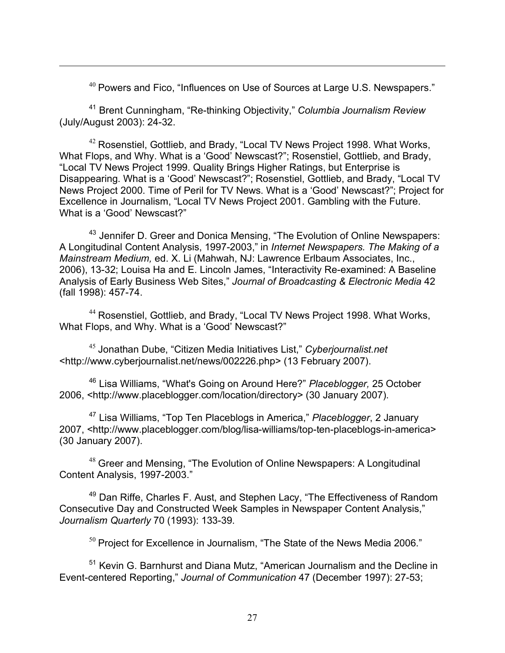$40$  Powers and Fico, "Influences on Use of Sources at Large U.S. Newspapers."

<sup>41</sup> Brent Cunningham, "Re-thinking Objectivity," *Columbia Journalism Review* (July/August 2003): 24-32.

 $\overline{a}$ 

<sup>42</sup> Rosenstiel, Gottlieb, and Brady, "Local TV News Project 1998. What Works, What Flops, and Why. What is a 'Good' Newscast?"; Rosenstiel, Gottlieb, and Brady, "Local TV News Project 1999. Quality Brings Higher Ratings, but Enterprise is Disappearing. What is a 'Good' Newscast?"; Rosenstiel, Gottlieb, and Brady, "Local TV News Project 2000. Time of Peril for TV News. What is a 'Good' Newscast?"; Project for Excellence in Journalism, "Local TV News Project 2001. Gambling with the Future. What is a 'Good' Newscast?"

<sup>43</sup> Jennifer D. Greer and Donica Mensing, "The Evolution of Online Newspapers: A Longitudinal Content Analysis, 1997-2003," in *Internet Newspapers. The Making of a Mainstream Medium,* ed. X. Li (Mahwah, NJ: Lawrence Erlbaum Associates, Inc., 2006), 13-32; Louisa Ha and E. Lincoln James, "Interactivity Re-examined: A Baseline Analysis of Early Business Web Sites," *Journal of Broadcasting & Electronic Media* 42 (fall 1998): 457-74.

<sup>44</sup> Rosenstiel, Gottlieb, and Brady, "Local TV News Project 1998. What Works, What Flops, and Why. What is a 'Good' Newscast?"

<sup>45</sup> Jonathan Dube, "Citizen Media Initiatives List," *Cyberjournalist.net* <http://www.cyberjournalist.net/news/002226.php> (13 February 2007).

<sup>46</sup> Lisa Williams, "What's Going on Around Here?" *Placeblogger,* 25 October 2006, <http://www.placeblogger.com/location/directory> (30 January 2007).

<sup>47</sup> Lisa Williams, "Top Ten Placeblogs in America," *Placeblogger*, 2 January 2007, <http://www.placeblogger.com/blog/lisa-williams/top-ten-placeblogs-in-america> (30 January 2007).

 $48$  Greer and Mensing, "The Evolution of Online Newspapers: A Longitudinal Content Analysis, 1997-2003."

<sup>49</sup> Dan Riffe, Charles F. Aust, and Stephen Lacy, "The Effectiveness of Random Consecutive Day and Constructed Week Samples in Newspaper Content Analysis," *Journalism Quarterly* 70 (1993): 133-39.

 $50$  Project for Excellence in Journalism, "The State of the News Media 2006."

<sup>51</sup> Kevin G. Barnhurst and Diana Mutz, "American Journalism and the Decline in Event-centered Reporting," *Journal of Communication* 47 (December 1997): 27-53;